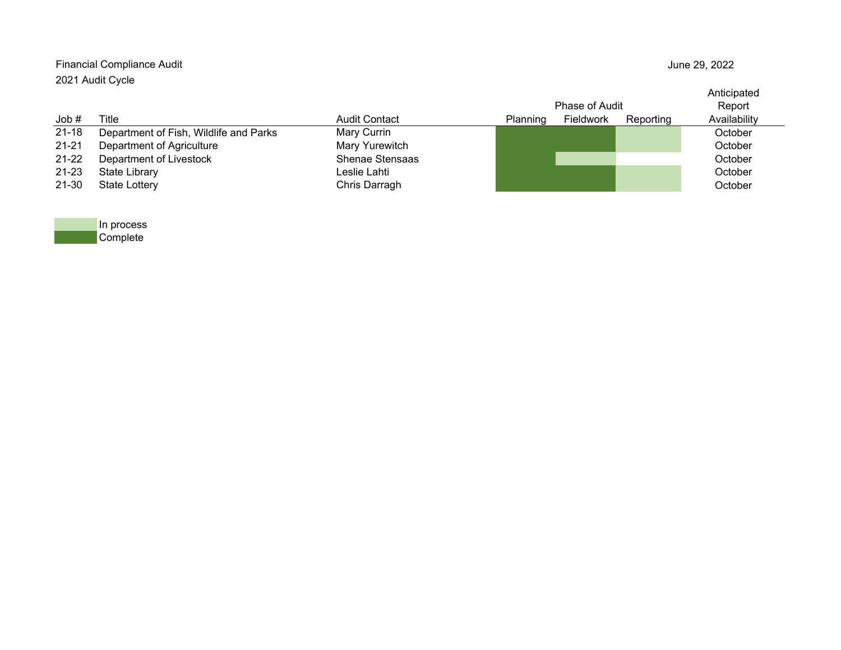| Financial Compliance Audit<br>2021 Audit Cycle |                                        |                      |                 |                |           | June 29, 2022         |  |  |
|------------------------------------------------|----------------------------------------|----------------------|-----------------|----------------|-----------|-----------------------|--|--|
|                                                |                                        |                      |                 | Phase of Audit |           | Anticipated<br>Report |  |  |
| Job#                                           | Title                                  | <b>Audit Contact</b> | <b>Planning</b> | Fieldwork      | Reporting | Availability          |  |  |
| $21 - 18$                                      | Department of Fish, Wildlife and Parks | Mary Currin          |                 |                |           | October               |  |  |
| $21 - 21$                                      | Department of Agriculture              | Mary Yurewitch       |                 |                |           | October               |  |  |
| $21 - 22$                                      | Department of Livestock                | Shenae Stensaas      |                 |                |           | October               |  |  |
| $21 - 23$                                      | <b>State Library</b>                   | Leslie Lahti         |                 |                |           | October               |  |  |
| 21-30                                          | <b>State Lottery</b>                   | Chris Darragh        |                 |                |           | October               |  |  |